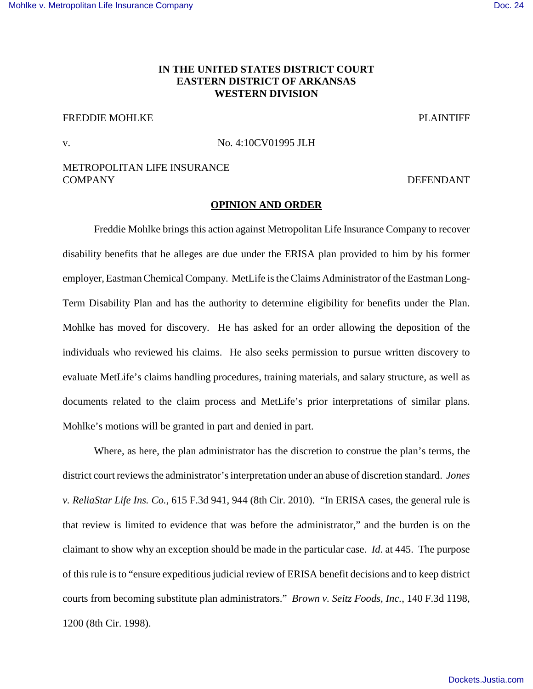# **IN THE UNITED STATES DISTRICT COURT EASTERN DISTRICT OF ARKANSAS WESTERN DIVISION**

# FREDDIE MOHLKE PLAINTIFF

v. No. 4:10CV01995 JLH

## METROPOLITAN LIFE INSURANCE COMPANY DEFENDANT

### **OPINION AND ORDER**

Freddie Mohlke brings this action against Metropolitan Life Insurance Company to recover disability benefits that he alleges are due under the ERISA plan provided to him by his former employer, Eastman Chemical Company. MetLife is the Claims Administrator of the Eastman Long-Term Disability Plan and has the authority to determine eligibility for benefits under the Plan. Mohlke has moved for discovery. He has asked for an order allowing the deposition of the individuals who reviewed his claims. He also seeks permission to pursue written discovery to evaluate MetLife's claims handling procedures, training materials, and salary structure, as well as documents related to the claim process and MetLife's prior interpretations of similar plans. Mohlke's motions will be granted in part and denied in part.

Where, as here, the plan administrator has the discretion to construe the plan's terms, the district court reviews the administrator's interpretation under an abuse of discretion standard. *Jones v. ReliaStar Life Ins. Co.*, 615 F.3d 941, 944 (8th Cir. 2010). "In ERISA cases, the general rule is that review is limited to evidence that was before the administrator," and the burden is on the claimant to show why an exception should be made in the particular case. *Id*. at 445. The purpose of this rule is to "ensure expeditious judicial review of ERISA benefit decisions and to keep district courts from becoming substitute plan administrators." *Brown v. Seitz Foods, Inc.*, 140 F.3d 1198, 1200 (8th Cir. 1998).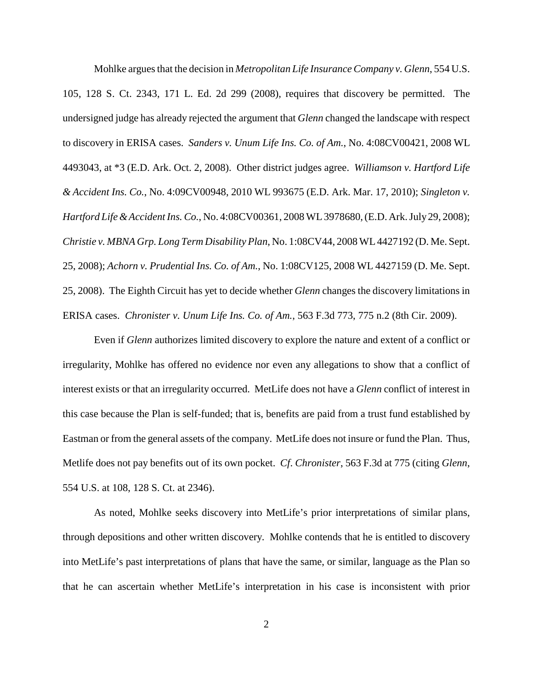Mohlke argues that the decision in *Metropolitan Life Insurance Company v. Glenn*, 554 U.S. 105, 128 S. Ct. 2343, 171 L. Ed. 2d 299 (2008), requires that discovery be permitted. The undersigned judge has already rejected the argument that *Glenn* changed the landscape with respect to discovery in ERISA cases. *Sanders v. Unum Life Ins. Co. of Am.*, No. 4:08CV00421, 2008 WL 4493043, at \*3 (E.D. Ark. Oct. 2, 2008). Other district judges agree. *Williamson v. Hartford Life & Accident Ins. Co.*, No. 4:09CV00948, 2010 WL 993675 (E.D. Ark. Mar. 17, 2010); *Singleton v. Hartford Life & Accident Ins. Co.*, No. 4:08CV00361, 2008 WL 3978680, (E.D. Ark. July 29, 2008); *Christie v. MBNA Grp. Long Term Disability Plan*, No. 1:08CV44, 2008 WL 4427192 (D. Me. Sept. 25, 2008); *Achorn v. Prudential Ins. Co. of Am.*, No. 1:08CV125, 2008 WL 4427159 (D. Me. Sept. 25, 2008). The Eighth Circuit has yet to decide whether *Glenn* changes the discovery limitations in ERISA cases. *Chronister v. Unum Life Ins. Co. of Am.*, 563 F.3d 773, 775 n.2 (8th Cir. 2009).

Even if *Glenn* authorizes limited discovery to explore the nature and extent of a conflict or irregularity, Mohlke has offered no evidence nor even any allegations to show that a conflict of interest exists or that an irregularity occurred. MetLife does not have a *Glenn* conflict of interest in this case because the Plan is self-funded; that is, benefits are paid from a trust fund established by Eastman or from the general assets of the company. MetLife does not insure or fund the Plan. Thus, Metlife does not pay benefits out of its own pocket. *Cf*. *Chronister*, 563 F.3d at 775 (citing *Glenn*, 554 U.S. at 108, 128 S. Ct. at 2346).

As noted, Mohlke seeks discovery into MetLife's prior interpretations of similar plans, through depositions and other written discovery. Mohlke contends that he is entitled to discovery into MetLife's past interpretations of plans that have the same, or similar, language as the Plan so that he can ascertain whether MetLife's interpretation in his case is inconsistent with prior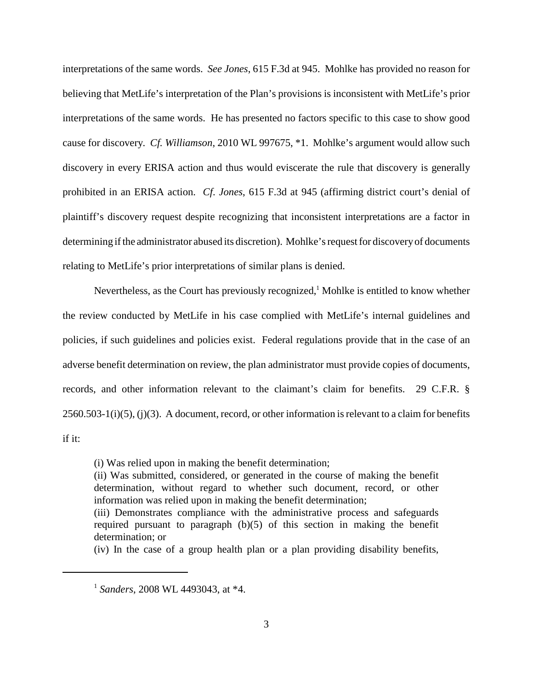interpretations of the same words. *See Jones*, 615 F.3d at 945. Mohlke has provided no reason for believing that MetLife's interpretation of the Plan's provisions is inconsistent with MetLife's prior interpretations of the same words. He has presented no factors specific to this case to show good cause for discovery. *Cf. Williamson*, 2010 WL 997675, \*1. Mohlke's argument would allow such discovery in every ERISA action and thus would eviscerate the rule that discovery is generally prohibited in an ERISA action. *Cf*. *Jones*, 615 F.3d at 945 (affirming district court's denial of plaintiff's discovery request despite recognizing that inconsistent interpretations are a factor in determining if the administrator abused its discretion). Mohlke's request for discovery of documents relating to MetLife's prior interpretations of similar plans is denied.

Nevertheless, as the Court has previously recognized, $<sup>1</sup>$  Mohlke is entitled to know whether</sup> the review conducted by MetLife in his case complied with MetLife's internal guidelines and policies, if such guidelines and policies exist. Federal regulations provide that in the case of an adverse benefit determination on review, the plan administrator must provide copies of documents, records, and other information relevant to the claimant's claim for benefits. 29 C.F.R. §  $2560.503-1(i)(5)$ , (j)(3). A document, record, or other information is relevant to a claim for benefits if it:

(i) Was relied upon in making the benefit determination;

(ii) Was submitted, considered, or generated in the course of making the benefit determination, without regard to whether such document, record, or other information was relied upon in making the benefit determination;

(iii) Demonstrates compliance with the administrative process and safeguards required pursuant to paragraph (b)(5) of this section in making the benefit determination; or

(iv) In the case of a group health plan or a plan providing disability benefits,

<sup>1</sup> *Sanders*, 2008 WL 4493043, at \*4.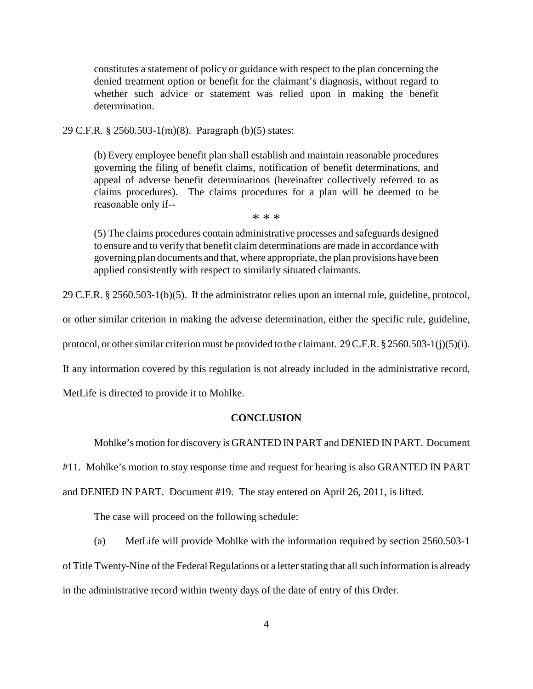constitutes a statement of policy or guidance with respect to the plan concerning the denied treatment option or benefit for the claimant's diagnosis, without regard to whether such advice or statement was relied upon in making the benefit determination.

29 C.F.R. § 2560.503-1(m)(8). Paragraph (b)(5) states:

(b) Every employee benefit plan shall establish and maintain reasonable procedures governing the filing of benefit claims, notification of benefit determinations, and appeal of adverse benefit determinations (hereinafter collectively referred to as claims procedures). The claims procedures for a plan will be deemed to be reasonable only if--

\* \* \*

(5) The claims procedures contain administrative processes and safeguards designed to ensure and to verify that benefit claim determinations are made in accordance with governing plan documents and that, where appropriate, the plan provisions have been applied consistently with respect to similarly situated claimants.

29 C.F.R. § 2560.503-1(b)(5). If the administrator relies upon an internal rule, guideline, protocol,

or other similar criterion in making the adverse determination, either the specific rule, guideline,

protocol, or other similar criterion must be provided to the claimant. 29 C.F.R. § 2560.503-1(j)(5)(i).

If any information covered by this regulation is not already included in the administrative record,

MetLife is directed to provide it to Mohlke.

#### **CONCLUSION**

Mohlke's motion for discovery is GRANTED IN PART and DENIED IN PART. Document

#11. Mohlke's motion to stay response time and request for hearing is also GRANTED IN PART

and DENIED IN PART. Document #19. The stay entered on April 26, 2011, is lifted.

The case will proceed on the following schedule:

(a) MetLife will provide Mohlke with the information required by section 2560.503-1 of Title Twenty-Nine of the Federal Regulations or a letter stating that all such information is already in the administrative record within twenty days of the date of entry of this Order.